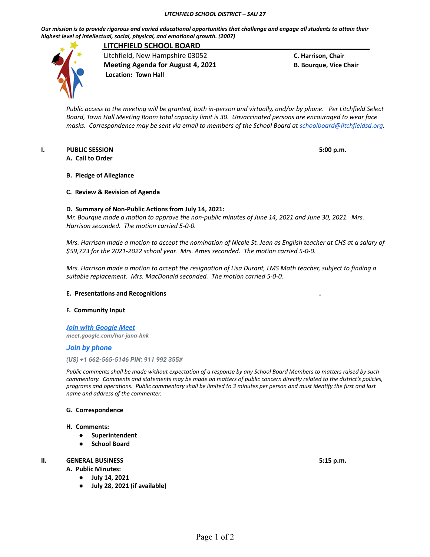*Our mission is to provide rigorous and varied educational opportunities that challenge and engage all students to attain their highest level of intellectual, social, physical, and emotional growth. (2007)*



**LITCHFIELD SCHOOL BOARD** Litchfield, New Hampshire 03052 **C. Harrison, Chair Meeting Agenda for August 4, 2021 B. Bourque, Vice Chair Location: Town Hall**

Public access to the meeting will be granted, both in-person and virtually, and/or by phone. Per Litchfield Select Board, Town Hall Meeting Room total capacity limit is 30. Unvaccinated persons are encouraged to wear face *masks. Correspondence may be sent via email to members of the School Board at [schoolboard@litchfieldsd.org.](mailto:schoolboard@litchfieldsd.org)*

## **I. PUBLIC SESSION 5:00 p.m.**

**A. Call to Order**

# **B. Pledge of Allegiance**

## **C. Review & Revision of Agenda**

## **D. Summary of Non-Public Actions from July 14, 2021:**

Mr. Bourque made a motion to approve the non-public minutes of June 14, 2021 and June 30, 2021. Mrs. *Harrison seconded. The motion carried 5-0-0.*

Mrs. Harrison made a motion to accept the nomination of Nicole St. Jean as English teacher at CHS at a salary of *\$59,723 for the 2021-2022 school year. Mrs. Ames seconded. The motion carried 5-0-0.*

Mrs. Harrison made a motion to accept the resignation of Lisa Durant, LMS Math teacher, subject to finding a *suitable replacement. Mrs. MacDonald seconded. The motion carried 5-0-0.*

#### **E. Presentations and Recognitions .**

# **F. Community Input**

*[Join with Google Meet](https://meet.google.com/har-jana-hnk?authuser=0&hs=122) meet.google.com/har-jana-hnk*

## *Join by phone*

*(US) +1 662-565-5146 PIN: 911 992 355#*

*Public comments shall be made without expectation of a response by any School Board Members to matters raised by such commentary. Comments and statements may be made on matters of public concern directly related to the district's policies, programs and operations. Public commentary shall be limited to 3 minutes per person and must identify the first and last name and address of the commenter.*

#### **G. Correspondence**

#### **H. Comments:**

- **● Superintendent**
- **● School Board**

# **II. GENERAL BUSINESS 5:15 p.m.**

**A. Public Minutes:**

- **● July 14, 2021**
	- **● July 28, 2021 (if available)**